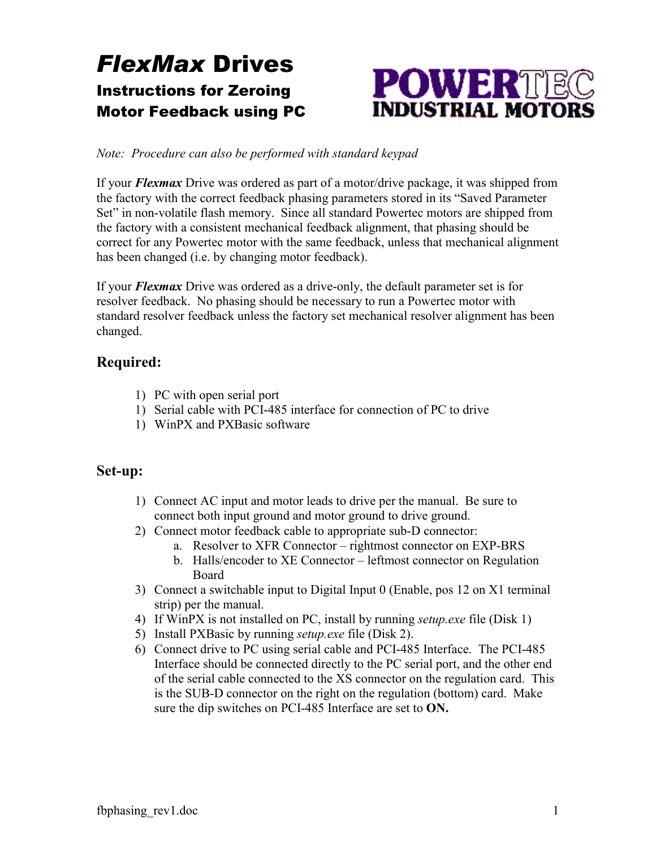# *FlexMax* Drives Instructions for Zeroing Motor Feedback using PC



#### *Note: Procedure can also be performed with standard keypad*

If your *Flexmax* Drive was ordered as part of a motor/drive package, it was shipped from the factory with the correct feedback phasing parameters stored in its "Saved Parameter Set" in non-volatile flash memory. Since all standard Powertec motors are shipped from the factory with a consistent mechanical feedback alignment, that phasing should be correct for any Powertec motor with the same feedback, unless that mechanical alignment has been changed (i.e. by changing motor feedback).

If your *Flexmax* Drive was ordered as a drive-only, the default parameter set is for resolver feedback. No phasing should be necessary to run a Powertec motor with standard resolver feedback unless the factory set mechanical resolver alignment has been changed.

### **Required:**

- 1) PC with open serial port
- 1) Serial cable with PCI-485 interface for connection of PC to drive
- 1) WinPX and PXBasic software

### **Set-up:**

- 1) Connect AC input and motor leads to drive per the manual. Be sure to connect both input ground and motor ground to drive ground.
- 2) Connect motor feedback cable to appropriate sub-D connector:
	- a. Resolver to XFR Connector rightmost connector on EXP-BRS
	- b. Halls/encoder to XE Connector leftmost connector on Regulation Board
- 3) Connect a switchable input to Digital Input 0 (Enable, pos 12 on X1 terminal strip) per the manual.
- 4) If WinPX is not installed on PC, install by running *setup.exe* file (Disk 1)
- 5) Install PXBasic by running *setup.exe* file (Disk 2).
- 6) Connect drive to PC using serial cable and PCI-485 Interface. The PCI-485 Interface should be connected directly to the PC serial port, and the other end of the serial cable connected to the XS connector on the regulation card. This is the SUB-D connector on the right on the regulation (bottom) card. Make sure the dip switches on PCI-485 Interface are set to **ON.**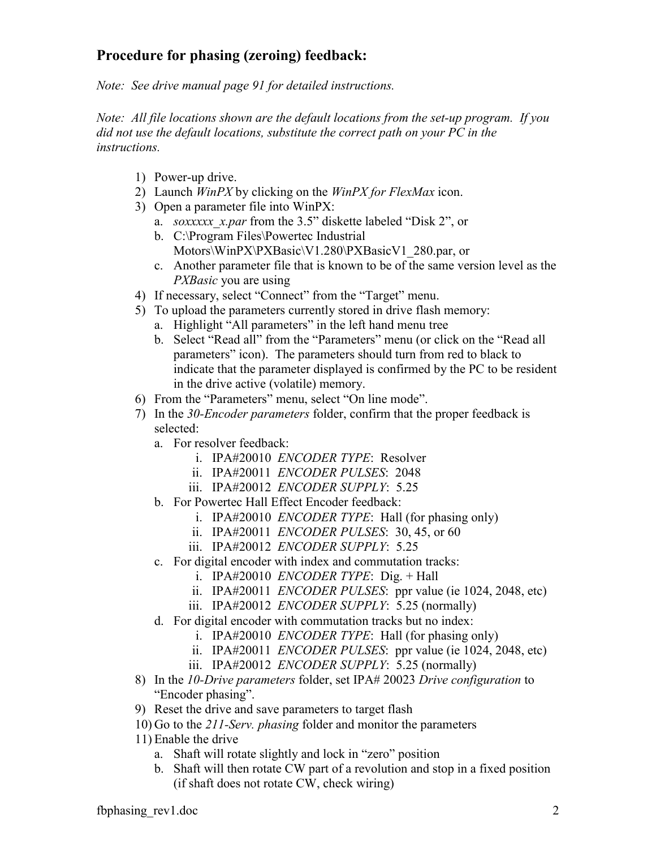## **Procedure for phasing (zeroing) feedback:**

*Note: See drive manual page 91 for detailed instructions.*

*Note: All file locations shown are the default locations from the set-up program. If you did not use the default locations, substitute the correct path on your PC in the instructions.* 

- 1) Power-up drive.
- 2) Launch *WinPX* by clicking on the *WinPX for FlexMax* icon.
- 3) Open a parameter file into WinPX:
	- a. *soxxxxx\_x.par* from the 3.5" diskette labeled "Disk 2", or
	- b. C:\Program Files\Powertec Industrial Motors\WinPX\PXBasic\V1.280\PXBasicV1\_280.par, or
	- c. Another parameter file that is known to be of the same version level as the *PXBasic* you are using
- 4) If necessary, select "Connect" from the "Target" menu.
- 5) To upload the parameters currently stored in drive flash memory:
	- a. Highlight "All parameters" in the left hand menu tree
	- b. Select "Read all" from the "Parameters" menu (or click on the "Read all parameters" icon). The parameters should turn from red to black to indicate that the parameter displayed is confirmed by the PC to be resident in the drive active (volatile) memory.
- 6) From the "Parameters" menu, select "On line mode".
- 7) In the *30-Encoder parameters* folder, confirm that the proper feedback is selected:
	- a. For resolver feedback:
		- i. IPA#20010 *ENCODER TYPE*: Resolver
		- ii. IPA#20011 *ENCODER PULSES*: 2048
		- iii. IPA#20012 *ENCODER SUPPLY*: 5.25
	- b. For Powertec Hall Effect Encoder feedback:
		- i. IPA#20010 *ENCODER TYPE*: Hall (for phasing only)
		- ii. IPA#20011 *ENCODER PULSES*: 30, 45, or 60
		- iii. IPA#20012 *ENCODER SUPPLY*: 5.25
	- c. For digital encoder with index and commutation tracks:
		- i. IPA#20010 *ENCODER TYPE*: Dig. + Hall
		- ii. IPA#20011 *ENCODER PULSES*: ppr value (ie 1024, 2048, etc)
		- iii. IPA#20012 *ENCODER SUPPLY*: 5.25 (normally)
	- d. For digital encoder with commutation tracks but no index:
		- i. IPA#20010 *ENCODER TYPE*: Hall (for phasing only)
		- ii. IPA#20011 *ENCODER PULSES*: ppr value (ie 1024, 2048, etc)
		- iii. IPA#20012 *ENCODER SUPPLY*: 5.25 (normally)
- 8) In the *10-Drive parameters* folder, set IPA# 20023 *Drive configuration* to "Encoder phasing".
- 9) Reset the drive and save parameters to target flash
- 10) Go to the *211-Serv. phasing* folder and monitor the parameters
- 11) Enable the drive
	- a. Shaft will rotate slightly and lock in "zero" position
	- b. Shaft will then rotate CW part of a revolution and stop in a fixed position (if shaft does not rotate CW, check wiring)